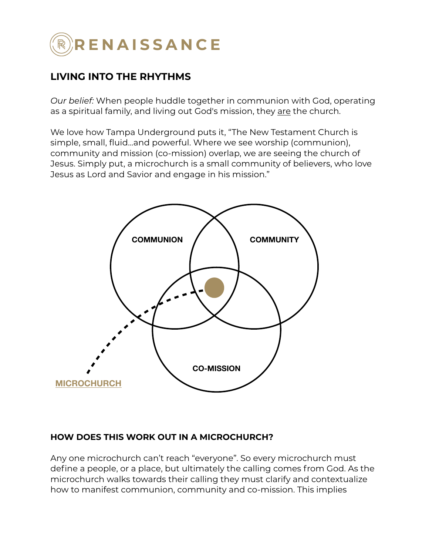

## **LIVING INTO THE RHYTHMS**

*Our belief:* When people huddle together in communion with God, operating as a spiritual family, and living out God's mission, they are the church.

We love how Tampa Underground puts it, "The New Testament Church is simple, small, fluid...and powerful. Where we see worship (communion), community and mission (co-mission) overlap, we are seeing the church of Jesus. Simply put, a microchurch is a small community of believers, who love Jesus as Lord and Savior and engage in his mission."



### **HOW DOES THIS WORK OUT IN A MICROCHURCH?**

Any one microchurch can't reach "everyone". So every microchurch must define a people, or a place, but ultimately the calling comes from God. As the microchurch walks towards their calling they must clarify and contextualize how to manifest communion, community and co-mission. This implies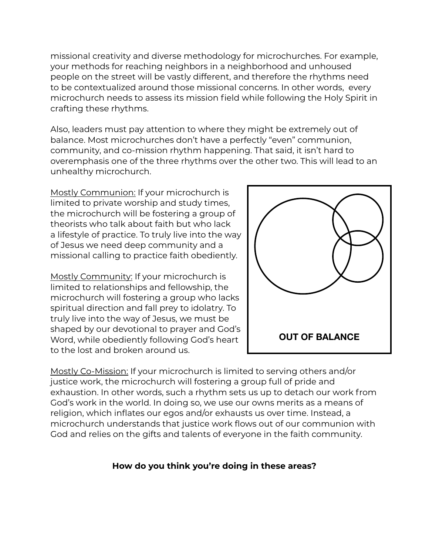missional creativity and diverse methodology for microchurches. For example, your methods for reaching neighbors in a neighborhood and unhoused people on the street will be vastly different, and therefore the rhythms need to be contextualized around those missional concerns. In other words, every microchurch needs to assess its mission field while following the Holy Spirit in crafting these rhythms.

Also, leaders must pay attention to where they might be extremely out of balance. Most microchurches don't have a perfectly "even" communion, community, and co-mission rhythm happening. That said, it isn't hard to overemphasis one of the three rhythms over the other two. This will lead to an unhealthy microchurch.

Mostly Communion: If your microchurch is limited to private worship and study times, the microchurch will be fostering a group of theorists who talk about faith but who lack a lifestyle of practice. To truly live into the way of Jesus we need deep community and a missional calling to practice faith obediently.

Mostly Community: If your microchurch is limited to relationships and fellowship, the microchurch will fostering a group who lacks spiritual direction and fall prey to idolatry. To truly live into the way of Jesus, we must be shaped by our devotional to prayer and God's Word, while obediently following God's heart to the lost and broken around us.



Mostly Co-Mission: If your microchurch is limited to serving others and/or justice work, the microchurch will fostering a group full of pride and exhaustion. In other words, such a rhythm sets us up to detach our work from God's work in the world. In doing so, we use our owns merits as a means of religion, which inflates our egos and/or exhausts us over time. Instead, a microchurch understands that justice work flows out of our communion with God and relies on the gifts and talents of everyone in the faith community.

### **How do you think you're doing in these areas?**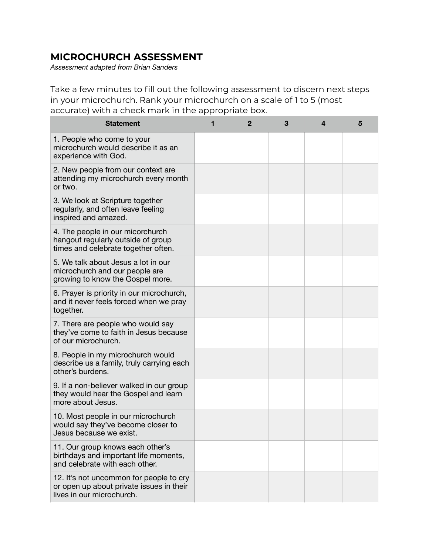# **MICROCHURCH ASSESSMENT**

*Assessment adapted from Brian Sanders* 

Take a few minutes to fill out the following assessment to discern next steps in your microchurch. Rank your microchurch on a scale of 1 to 5 (most accurate) with a check mark in the appropriate box.

| <b>Statement</b>                                                                                                 | 1 | $\mathbf{2}$ | 3 | 4 | 5 |
|------------------------------------------------------------------------------------------------------------------|---|--------------|---|---|---|
| 1. People who come to your<br>microchurch would describe it as an<br>experience with God.                        |   |              |   |   |   |
| 2. New people from our context are<br>attending my microchurch every month<br>or two.                            |   |              |   |   |   |
| 3. We look at Scripture together<br>regularly, and often leave feeling<br>inspired and amazed.                   |   |              |   |   |   |
| 4. The people in our micorchurch<br>hangout regularly outside of group<br>times and celebrate together often.    |   |              |   |   |   |
| 5. We talk about Jesus a lot in our<br>microchurch and our people are<br>growing to know the Gospel more.        |   |              |   |   |   |
| 6. Prayer is priority in our microchurch,<br>and it never feels forced when we pray<br>together.                 |   |              |   |   |   |
| 7. There are people who would say<br>they've come to faith in Jesus because<br>of our microchurch.               |   |              |   |   |   |
| 8. People in my microchurch would<br>describe us a family, truly carrying each<br>other's burdens.               |   |              |   |   |   |
| 9. If a non-believer walked in our group<br>they would hear the Gospel and learn<br>more about Jesus.            |   |              |   |   |   |
| 10. Most people in our microchurch<br>would say they've become closer to<br>Jesus because we exist.              |   |              |   |   |   |
| 11. Our group knows each other's<br>birthdays and important life moments,<br>and celebrate with each other.      |   |              |   |   |   |
| 12. It's not uncommon for people to cry<br>or open up about private issues in their<br>lives in our microchurch. |   |              |   |   |   |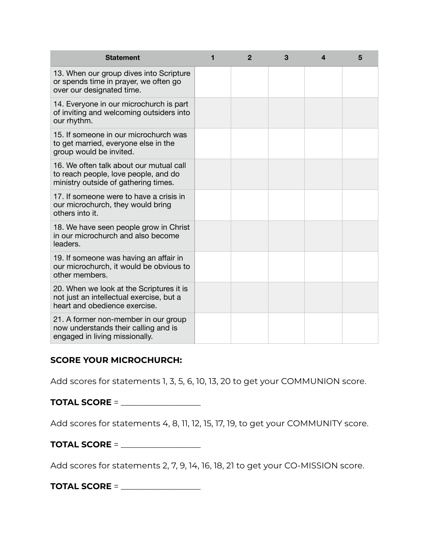| <b>Statement</b>                                                                                                        | 1 | $\mathbf{2}$ | 3 | 4 | 5 |
|-------------------------------------------------------------------------------------------------------------------------|---|--------------|---|---|---|
| 13. When our group dives into Scripture<br>or spends time in prayer, we often go<br>over our designated time.           |   |              |   |   |   |
| 14. Everyone in our microchurch is part<br>of inviting and welcoming outsiders into<br>our rhythm.                      |   |              |   |   |   |
| 15. If someone in our microchurch was<br>to get married, everyone else in the<br>group would be invited.                |   |              |   |   |   |
| 16. We often talk about our mutual call<br>to reach people, love people, and do<br>ministry outside of gathering times. |   |              |   |   |   |
| 17. If someone were to have a crisis in<br>our microchurch, they would bring<br>others into it.                         |   |              |   |   |   |
| 18. We have seen people grow in Christ<br>in our microchurch and also become<br>leaders.                                |   |              |   |   |   |
| 19. If someone was having an affair in<br>our microchurch, it would be obvious to<br>other members.                     |   |              |   |   |   |
| 20. When we look at the Scriptures it is<br>not just an intellectual exercise, but a<br>heart and obedience exercise.   |   |              |   |   |   |
| 21. A former non-member in our group<br>now understands their calling and is<br>engaged in living missionally.          |   |              |   |   |   |

#### **SCORE YOUR MICROCHURCH:**

Add scores for statements 1, 3, 5, 6, 10, 13, 20 to get your COMMUNION score.

**TOTAL SCORE** = \_\_\_\_\_\_\_\_\_\_\_\_\_\_\_\_\_\_\_

Add scores for statements 4, 8, 11, 12, 15, 17, 19, to get your COMMUNITY score.

**TOTAL SCORE** = \_\_\_\_\_\_\_\_\_\_\_\_\_\_\_\_\_\_\_

Add scores for statements 2, 7, 9, 14, 16, 18, 21 to get your CO-MISSION score.

**TOTAL SCORE** = \_\_\_\_\_\_\_\_\_\_\_\_\_\_\_\_\_\_\_